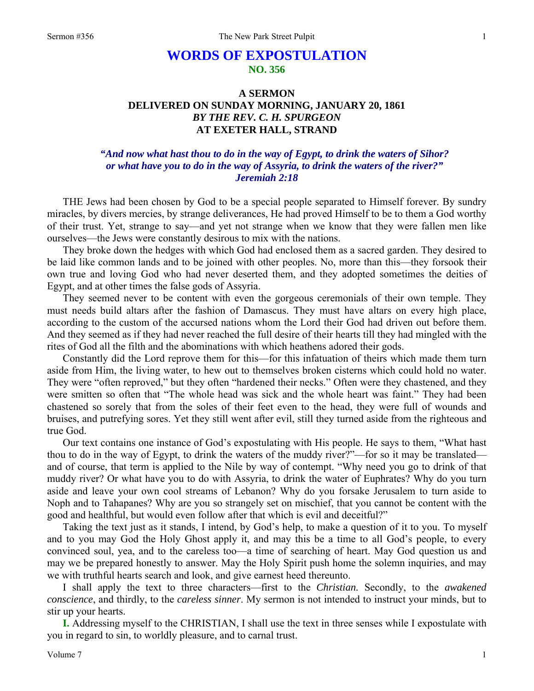# **WORDS OF EXPOSTULATION NO. 356**

## **A SERMON DELIVERED ON SUNDAY MORNING, JANUARY 20, 1861**  *BY THE REV. C. H. SPURGEON*  **AT EXETER HALL, STRAND**

### *"And now what hast thou to do in the way of Egypt, to drink the waters of Sihor? or what have you to do in the way of Assyria, to drink the waters of the river?" Jeremiah 2:18*

THE Jews had been chosen by God to be a special people separated to Himself forever. By sundry miracles, by divers mercies, by strange deliverances, He had proved Himself to be to them a God worthy of their trust. Yet, strange to say—and yet not strange when we know that they were fallen men like ourselves—the Jews were constantly desirous to mix with the nations.

They broke down the hedges with which God had enclosed them as a sacred garden. They desired to be laid like common lands and to be joined with other peoples. No, more than this—they forsook their own true and loving God who had never deserted them, and they adopted sometimes the deities of Egypt, and at other times the false gods of Assyria.

They seemed never to be content with even the gorgeous ceremonials of their own temple. They must needs build altars after the fashion of Damascus. They must have altars on every high place, according to the custom of the accursed nations whom the Lord their God had driven out before them. And they seemed as if they had never reached the full desire of their hearts till they had mingled with the rites of God all the filth and the abominations with which heathens adored their gods.

Constantly did the Lord reprove them for this—for this infatuation of theirs which made them turn aside from Him, the living water, to hew out to themselves broken cisterns which could hold no water. They were "often reproved," but they often "hardened their necks." Often were they chastened, and they were smitten so often that "The whole head was sick and the whole heart was faint." They had been chastened so sorely that from the soles of their feet even to the head, they were full of wounds and bruises, and putrefying sores. Yet they still went after evil, still they turned aside from the righteous and true God.

Our text contains one instance of God's expostulating with His people. He says to them, "What hast thou to do in the way of Egypt, to drink the waters of the muddy river?"—for so it may be translated and of course, that term is applied to the Nile by way of contempt. "Why need you go to drink of that muddy river? Or what have you to do with Assyria, to drink the water of Euphrates? Why do you turn aside and leave your own cool streams of Lebanon? Why do you forsake Jerusalem to turn aside to Noph and to Tahapanes? Why are you so strangely set on mischief, that you cannot be content with the good and healthful, but would even follow after that which is evil and deceitful?"

Taking the text just as it stands, I intend, by God's help, to make a question of it to you. To myself and to you may God the Holy Ghost apply it, and may this be a time to all God's people, to every convinced soul, yea, and to the careless too—a time of searching of heart. May God question us and may we be prepared honestly to answer. May the Holy Spirit push home the solemn inquiries, and may we with truthful hearts search and look, and give earnest heed thereunto.

I shall apply the text to three characters—first to the *Christian.* Secondly, to the *awakened conscience*, and thirdly, to the *careless sinner*. My sermon is not intended to instruct your minds, but to stir up your hearts.

**I.** Addressing myself to the CHRISTIAN, I shall use the text in three senses while I expostulate with you in regard to sin, to worldly pleasure, and to carnal trust.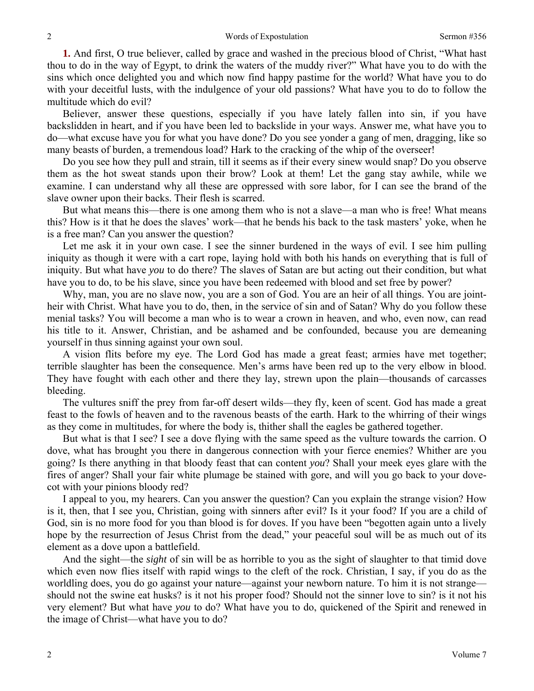**1.** And first, O true believer, called by grace and washed in the precious blood of Christ, "What hast thou to do in the way of Egypt, to drink the waters of the muddy river?" What have you to do with the sins which once delighted you and which now find happy pastime for the world? What have you to do with your deceitful lusts, with the indulgence of your old passions? What have you to do to follow the multitude which do evil?

Believer, answer these questions, especially if you have lately fallen into sin, if you have backslidden in heart, and if you have been led to backslide in your ways. Answer me, what have you to do—what excuse have you for what you have done? Do you see yonder a gang of men, dragging, like so many beasts of burden, a tremendous load? Hark to the cracking of the whip of the overseer!

Do you see how they pull and strain, till it seems as if their every sinew would snap? Do you observe them as the hot sweat stands upon their brow? Look at them! Let the gang stay awhile, while we examine. I can understand why all these are oppressed with sore labor, for I can see the brand of the slave owner upon their backs. Their flesh is scarred.

But what means this—there is one among them who is not a slave—a man who is free! What means this? How is it that he does the slaves' work—that he bends his back to the task masters' yoke, when he is a free man? Can you answer the question?

Let me ask it in your own case. I see the sinner burdened in the ways of evil. I see him pulling iniquity as though it were with a cart rope, laying hold with both his hands on everything that is full of iniquity. But what have *you* to do there? The slaves of Satan are but acting out their condition, but what have you to do, to be his slave, since you have been redeemed with blood and set free by power?

Why, man, you are no slave now, you are a son of God. You are an heir of all things. You are jointheir with Christ. What have you to do, then, in the service of sin and of Satan? Why do you follow these menial tasks? You will become a man who is to wear a crown in heaven, and who, even now, can read his title to it. Answer, Christian, and be ashamed and be confounded, because you are demeaning yourself in thus sinning against your own soul.

A vision flits before my eye. The Lord God has made a great feast; armies have met together; terrible slaughter has been the consequence. Men's arms have been red up to the very elbow in blood. They have fought with each other and there they lay, strewn upon the plain—thousands of carcasses bleeding.

The vultures sniff the prey from far-off desert wilds—they fly, keen of scent. God has made a great feast to the fowls of heaven and to the ravenous beasts of the earth. Hark to the whirring of their wings as they come in multitudes, for where the body is, thither shall the eagles be gathered together.

But what is that I see? I see a dove flying with the same speed as the vulture towards the carrion. O dove, what has brought you there in dangerous connection with your fierce enemies? Whither are you going? Is there anything in that bloody feast that can content *you*? Shall your meek eyes glare with the fires of anger? Shall your fair white plumage be stained with gore, and will you go back to your dovecot with your pinions bloody red?

I appeal to you, my hearers. Can you answer the question? Can you explain the strange vision? How is it, then, that I see you, Christian, going with sinners after evil? Is it your food? If you are a child of God, sin is no more food for you than blood is for doves. If you have been "begotten again unto a lively hope by the resurrection of Jesus Christ from the dead," your peaceful soul will be as much out of its element as a dove upon a battlefield.

And the sight—the *sight* of sin will be as horrible to you as the sight of slaughter to that timid dove which even now flies itself with rapid wings to the cleft of the rock. Christian, I say, if you do as the worldling does, you do go against your nature—against your newborn nature. To him it is not strange should not the swine eat husks? is it not his proper food? Should not the sinner love to sin? is it not his very element? But what have *you* to do? What have you to do, quickened of the Spirit and renewed in the image of Christ—what have you to do?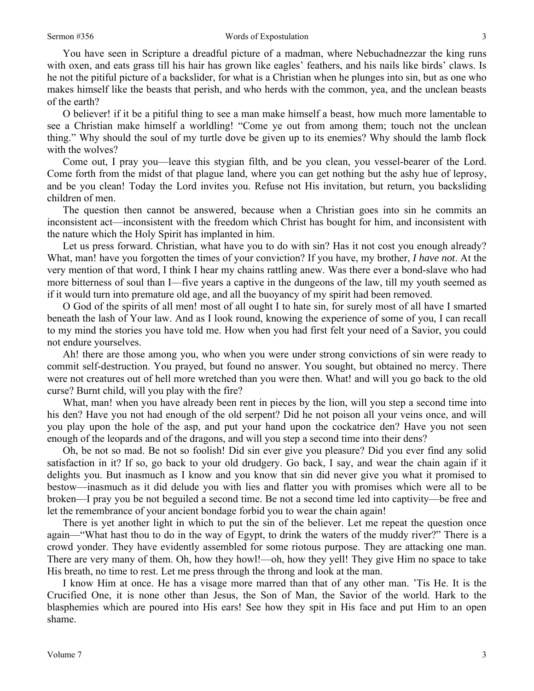#### Sermon #356 Words of Expostulation

You have seen in Scripture a dreadful picture of a madman, where Nebuchadnezzar the king runs with oxen, and eats grass till his hair has grown like eagles' feathers, and his nails like birds' claws. Is he not the pitiful picture of a backslider, for what is a Christian when he plunges into sin, but as one who makes himself like the beasts that perish, and who herds with the common, yea, and the unclean beasts of the earth?

O believer! if it be a pitiful thing to see a man make himself a beast, how much more lamentable to see a Christian make himself a worldling! "Come ye out from among them; touch not the unclean thing." Why should the soul of my turtle dove be given up to its enemies? Why should the lamb flock with the wolves?

Come out, I pray you—leave this stygian filth, and be you clean, you vessel-bearer of the Lord. Come forth from the midst of that plague land, where you can get nothing but the ashy hue of leprosy, and be you clean! Today the Lord invites you. Refuse not His invitation, but return, you backsliding children of men.

The question then cannot be answered, because when a Christian goes into sin he commits an inconsistent act—inconsistent with the freedom which Christ has bought for him, and inconsistent with the nature which the Holy Spirit has implanted in him.

Let us press forward. Christian, what have you to do with sin? Has it not cost you enough already? What, man! have you forgotten the times of your conviction? If you have, my brother, *I have not*. At the very mention of that word, I think I hear my chains rattling anew. Was there ever a bond-slave who had more bitterness of soul than I—five years a captive in the dungeons of the law, till my youth seemed as if it would turn into premature old age, and all the buoyancy of my spirit had been removed.

O God of the spirits of all men! most of all ought I to hate sin, for surely most of all have I smarted beneath the lash of Your law. And as I look round, knowing the experience of some of you, I can recall to my mind the stories you have told me. How when you had first felt your need of a Savior, you could not endure yourselves.

Ah! there are those among you, who when you were under strong convictions of sin were ready to commit self-destruction. You prayed, but found no answer. You sought, but obtained no mercy. There were not creatures out of hell more wretched than you were then. What! and will you go back to the old curse? Burnt child, will you play with the fire?

What, man! when you have already been rent in pieces by the lion, will you step a second time into his den? Have you not had enough of the old serpent? Did he not poison all your veins once, and will you play upon the hole of the asp, and put your hand upon the cockatrice den? Have you not seen enough of the leopards and of the dragons, and will you step a second time into their dens?

Oh, be not so mad. Be not so foolish! Did sin ever give you pleasure? Did you ever find any solid satisfaction in it? If so, go back to your old drudgery. Go back, I say, and wear the chain again if it delights you. But inasmuch as I know and you know that sin did never give you what it promised to bestow—inasmuch as it did delude you with lies and flatter you with promises which were all to be broken—I pray you be not beguiled a second time. Be not a second time led into captivity—be free and let the remembrance of your ancient bondage forbid you to wear the chain again!

There is yet another light in which to put the sin of the believer. Let me repeat the question once again—"What hast thou to do in the way of Egypt, to drink the waters of the muddy river?" There is a crowd yonder. They have evidently assembled for some riotous purpose. They are attacking one man. There are very many of them. Oh, how they howl!—oh, how they yell! They give Him no space to take His breath, no time to rest. Let me press through the throng and look at the man.

I know Him at once. He has a visage more marred than that of any other man. 'Tis He. It is the Crucified One, it is none other than Jesus, the Son of Man, the Savior of the world. Hark to the blasphemies which are poured into His ears! See how they spit in His face and put Him to an open shame.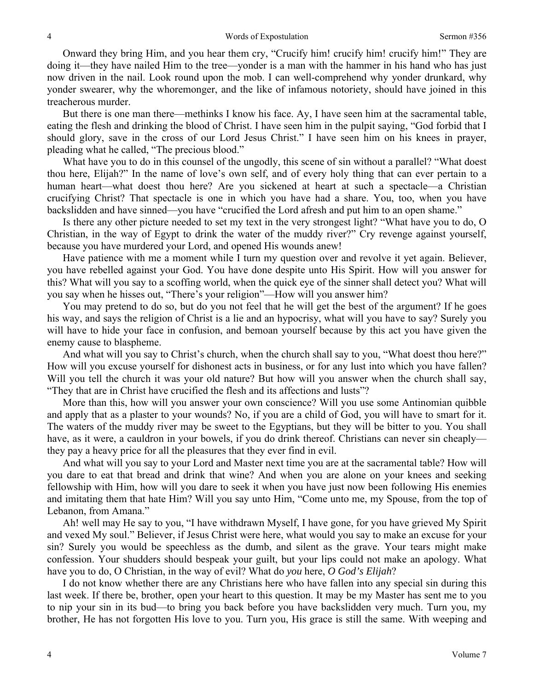Onward they bring Him, and you hear them cry, "Crucify him! crucify him! crucify him!" They are doing it—they have nailed Him to the tree—yonder is a man with the hammer in his hand who has just now driven in the nail. Look round upon the mob. I can well-comprehend why yonder drunkard, why yonder swearer, why the whoremonger, and the like of infamous notoriety, should have joined in this treacherous murder.

But there is one man there—methinks I know his face. Ay, I have seen him at the sacramental table, eating the flesh and drinking the blood of Christ. I have seen him in the pulpit saying, "God forbid that I should glory, save in the cross of our Lord Jesus Christ." I have seen him on his knees in prayer, pleading what he called, "The precious blood."

What have you to do in this counsel of the ungodly, this scene of sin without a parallel? "What doest thou here, Elijah?" In the name of love's own self, and of every holy thing that can ever pertain to a human heart—what doest thou here? Are you sickened at heart at such a spectacle—a Christian crucifying Christ? That spectacle is one in which you have had a share. You, too, when you have backslidden and have sinned—you have "crucified the Lord afresh and put him to an open shame."

Is there any other picture needed to set my text in the very strongest light? "What have you to do, O Christian, in the way of Egypt to drink the water of the muddy river?" Cry revenge against yourself, because you have murdered your Lord, and opened His wounds anew!

Have patience with me a moment while I turn my question over and revolve it yet again. Believer, you have rebelled against your God. You have done despite unto His Spirit. How will you answer for this? What will you say to a scoffing world, when the quick eye of the sinner shall detect you? What will you say when he hisses out, "There's your religion"—How will you answer him?

You may pretend to do so, but do you not feel that he will get the best of the argument? If he goes his way, and says the religion of Christ is a lie and an hypocrisy, what will you have to say? Surely you will have to hide your face in confusion, and bemoan yourself because by this act you have given the enemy cause to blaspheme.

And what will you say to Christ's church, when the church shall say to you, "What doest thou here?" How will you excuse yourself for dishonest acts in business, or for any lust into which you have fallen? Will you tell the church it was your old nature? But how will you answer when the church shall say, "They that are in Christ have crucified the flesh and its affections and lusts"?

More than this, how will you answer your own conscience? Will you use some Antinomian quibble and apply that as a plaster to your wounds? No, if you are a child of God, you will have to smart for it. The waters of the muddy river may be sweet to the Egyptians, but they will be bitter to you. You shall have, as it were, a cauldron in your bowels, if you do drink thereof. Christians can never sin cheaply they pay a heavy price for all the pleasures that they ever find in evil.

And what will you say to your Lord and Master next time you are at the sacramental table? How will you dare to eat that bread and drink that wine? And when you are alone on your knees and seeking fellowship with Him, how will you dare to seek it when you have just now been following His enemies and imitating them that hate Him? Will you say unto Him, "Come unto me, my Spouse, from the top of Lebanon, from Amana."

Ah! well may He say to you, "I have withdrawn Myself, I have gone, for you have grieved My Spirit and vexed My soul." Believer, if Jesus Christ were here, what would you say to make an excuse for your sin? Surely you would be speechless as the dumb, and silent as the grave. Your tears might make confession. Your shudders should bespeak your guilt, but your lips could not make an apology. What have you to do, O Christian, in the way of evil? What do *you* here, *O God's Elijah*?

I do not know whether there are any Christians here who have fallen into any special sin during this last week. If there be, brother, open your heart to this question. It may be my Master has sent me to you to nip your sin in its bud—to bring you back before you have backslidden very much. Turn you, my brother, He has not forgotten His love to you. Turn you, His grace is still the same. With weeping and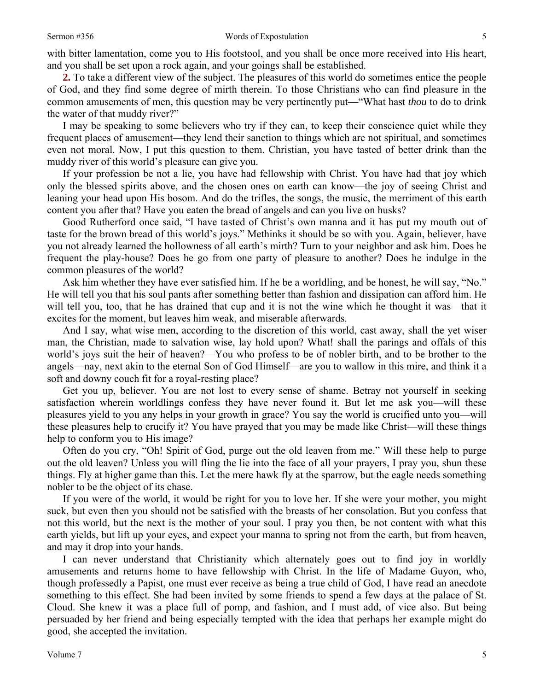with bitter lamentation, come you to His footstool, and you shall be once more received into His heart, and you shall be set upon a rock again, and your goings shall be established.

**2.** To take a different view of the subject. The pleasures of this world do sometimes entice the people of God, and they find some degree of mirth therein. To those Christians who can find pleasure in the common amusements of men, this question may be very pertinently put—"What hast *thou* to do to drink the water of that muddy river?"

I may be speaking to some believers who try if they can, to keep their conscience quiet while they frequent places of amusement—they lend their sanction to things which are not spiritual, and sometimes even not moral. Now, I put this question to them. Christian, you have tasted of better drink than the muddy river of this world's pleasure can give you.

If your profession be not a lie, you have had fellowship with Christ. You have had that joy which only the blessed spirits above, and the chosen ones on earth can know—the joy of seeing Christ and leaning your head upon His bosom. And do the trifles, the songs, the music, the merriment of this earth content you after that? Have you eaten the bread of angels and can you live on husks?

Good Rutherford once said, "I have tasted of Christ's own manna and it has put my mouth out of taste for the brown bread of this world's joys." Methinks it should be so with you. Again, believer, have you not already learned the hollowness of all earth's mirth? Turn to your neighbor and ask him. Does he frequent the play-house? Does he go from one party of pleasure to another? Does he indulge in the common pleasures of the world?

Ask him whether they have ever satisfied him. If he be a worldling, and be honest, he will say, "No." He will tell you that his soul pants after something better than fashion and dissipation can afford him. He will tell you, too, that he has drained that cup and it is not the wine which he thought it was—that it excites for the moment, but leaves him weak, and miserable afterwards.

And I say, what wise men, according to the discretion of this world, cast away, shall the yet wiser man, the Christian, made to salvation wise, lay hold upon? What! shall the parings and offals of this world's joys suit the heir of heaven?—You who profess to be of nobler birth, and to be brother to the angels—nay, next akin to the eternal Son of God Himself—are you to wallow in this mire, and think it a soft and downy couch fit for a royal-resting place?

Get you up, believer. You are not lost to every sense of shame. Betray not yourself in seeking satisfaction wherein worldlings confess they have never found it. But let me ask you—will these pleasures yield to you any helps in your growth in grace? You say the world is crucified unto you—will these pleasures help to crucify it? You have prayed that you may be made like Christ—will these things help to conform you to His image?

Often do you cry, "Oh! Spirit of God, purge out the old leaven from me." Will these help to purge out the old leaven? Unless you will fling the lie into the face of all your prayers, I pray you, shun these things. Fly at higher game than this. Let the mere hawk fly at the sparrow, but the eagle needs something nobler to be the object of its chase.

If you were of the world, it would be right for you to love her. If she were your mother, you might suck, but even then you should not be satisfied with the breasts of her consolation. But you confess that not this world, but the next is the mother of your soul. I pray you then, be not content with what this earth yields, but lift up your eyes, and expect your manna to spring not from the earth, but from heaven, and may it drop into your hands.

I can never understand that Christianity which alternately goes out to find joy in worldly amusements and returns home to have fellowship with Christ. In the life of Madame Guyon, who, though professedly a Papist, one must ever receive as being a true child of God, I have read an anecdote something to this effect. She had been invited by some friends to spend a few days at the palace of St. Cloud. She knew it was a place full of pomp, and fashion, and I must add, of vice also. But being persuaded by her friend and being especially tempted with the idea that perhaps her example might do good, she accepted the invitation.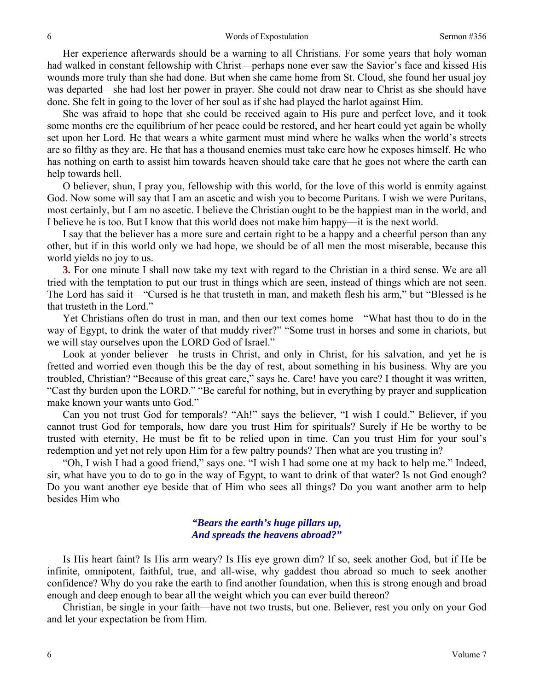Her experience afterwards should be a warning to all Christians. For some years that holy woman had walked in constant fellowship with Christ—perhaps none ever saw the Savior's face and kissed His wounds more truly than she had done. But when she came home from St. Cloud, she found her usual joy was departed—she had lost her power in prayer. She could not draw near to Christ as she should have done. She felt in going to the lover of her soul as if she had played the harlot against Him.

She was afraid to hope that she could be received again to His pure and perfect love, and it took some months ere the equilibrium of her peace could be restored, and her heart could yet again be wholly set upon her Lord. He that wears a white garment must mind where he walks when the world's streets are so filthy as they are. He that has a thousand enemies must take care how he exposes himself. He who has nothing on earth to assist him towards heaven should take care that he goes not where the earth can help towards hell.

O believer, shun, I pray you, fellowship with this world, for the love of this world is enmity against God. Now some will say that I am an ascetic and wish you to become Puritans. I wish we were Puritans, most certainly, but I am no ascetic. I believe the Christian ought to be the happiest man in the world, and I believe he is too. But I know that this world does not make him happy—it is the next world.

I say that the believer has a more sure and certain right to be a happy and a cheerful person than any other, but if in this world only we had hope, we should be of all men the most miserable, because this world yields no joy to us.

**3.** For one minute I shall now take my text with regard to the Christian in a third sense. We are all tried with the temptation to put our trust in things which are seen, instead of things which are not seen. The Lord has said it—"Cursed is he that trusteth in man, and maketh flesh his arm," but "Blessed is he that trusteth in the Lord."

Yet Christians often do trust in man, and then our text comes home—"What hast thou to do in the way of Egypt, to drink the water of that muddy river?" "Some trust in horses and some in chariots, but we will stay ourselves upon the LORD God of Israel."

Look at yonder believer—he trusts in Christ, and only in Christ, for his salvation, and yet he is fretted and worried even though this be the day of rest, about something in his business. Why are you troubled, Christian? "Because of this great care," says he. Care! have you care? I thought it was written, "Cast thy burden upon the LORD." "Be careful for nothing, but in everything by prayer and supplication make known your wants unto God."

Can you not trust God for temporals? "Ah!" says the believer, "I wish I could." Believer, if you cannot trust God for temporals, how dare you trust Him for spirituals? Surely if He be worthy to be trusted with eternity, He must be fit to be relied upon in time. Can you trust Him for your soul's redemption and yet not rely upon Him for a few paltry pounds? Then what are you trusting in?

"Oh, I wish I had a good friend," says one. "I wish I had some one at my back to help me." Indeed, sir, what have you to do to go in the way of Egypt, to want to drink of that water? Is not God enough? Do you want another eye beside that of Him who sees all things? Do you want another arm to help besides Him who

### *"Bears the earth's huge pillars up, And spreads the heavens abroad?"*

Is His heart faint? Is His arm weary? Is His eye grown dim? If so, seek another God, but if He be infinite, omnipotent, faithful, true, and all-wise, why gaddest thou abroad so much to seek another confidence? Why do you rake the earth to find another foundation, when this is strong enough and broad enough and deep enough to bear all the weight which you can ever build thereon?

Christian, be single in your faith—have not two trusts, but one. Believer, rest you only on your God and let your expectation be from Him.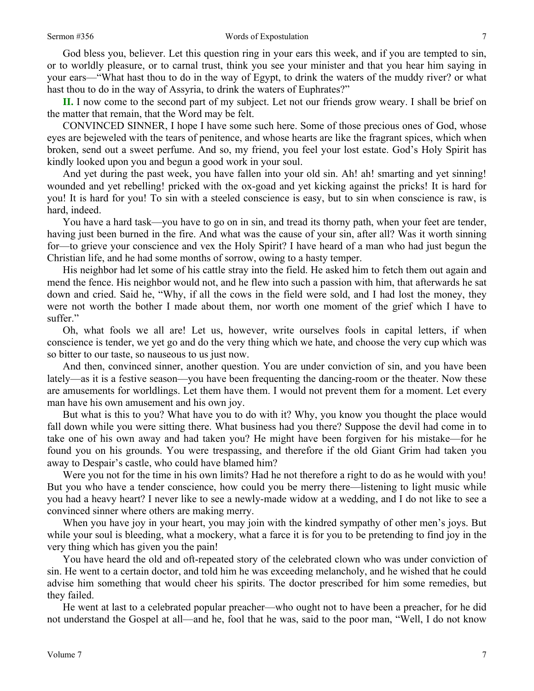God bless you, believer. Let this question ring in your ears this week, and if you are tempted to sin, or to worldly pleasure, or to carnal trust, think you see your minister and that you hear him saying in your ears—"What hast thou to do in the way of Egypt, to drink the waters of the muddy river? or what hast thou to do in the way of Assyria, to drink the waters of Euphrates?"

**II.** I now come to the second part of my subject. Let not our friends grow weary. I shall be brief on the matter that remain, that the Word may be felt.

CONVINCED SINNER, I hope I have some such here. Some of those precious ones of God, whose eyes are bejeweled with the tears of penitence, and whose hearts are like the fragrant spices, which when broken, send out a sweet perfume. And so, my friend, you feel your lost estate. God's Holy Spirit has kindly looked upon you and begun a good work in your soul.

And yet during the past week, you have fallen into your old sin. Ah! ah! smarting and yet sinning! wounded and yet rebelling! pricked with the ox-goad and yet kicking against the pricks! It is hard for you! It is hard for you! To sin with a steeled conscience is easy, but to sin when conscience is raw, is hard, indeed.

You have a hard task—you have to go on in sin, and tread its thorny path, when your feet are tender, having just been burned in the fire. And what was the cause of your sin, after all? Was it worth sinning for—to grieve your conscience and vex the Holy Spirit? I have heard of a man who had just begun the Christian life, and he had some months of sorrow, owing to a hasty temper.

His neighbor had let some of his cattle stray into the field. He asked him to fetch them out again and mend the fence. His neighbor would not, and he flew into such a passion with him, that afterwards he sat down and cried. Said he, "Why, if all the cows in the field were sold, and I had lost the money, they were not worth the bother I made about them, nor worth one moment of the grief which I have to suffer."

Oh, what fools we all are! Let us, however, write ourselves fools in capital letters, if when conscience is tender, we yet go and do the very thing which we hate, and choose the very cup which was so bitter to our taste, so nauseous to us just now.

And then, convinced sinner, another question. You are under conviction of sin, and you have been lately—as it is a festive season—you have been frequenting the dancing-room or the theater. Now these are amusements for worldlings. Let them have them. I would not prevent them for a moment. Let every man have his own amusement and his own joy.

But what is this to you? What have you to do with it? Why, you know you thought the place would fall down while you were sitting there. What business had you there? Suppose the devil had come in to take one of his own away and had taken you? He might have been forgiven for his mistake—for he found you on his grounds. You were trespassing, and therefore if the old Giant Grim had taken you away to Despair's castle, who could have blamed him?

Were you not for the time in his own limits? Had he not therefore a right to do as he would with you! But you who have a tender conscience, how could you be merry there—listening to light music while you had a heavy heart? I never like to see a newly-made widow at a wedding, and I do not like to see a convinced sinner where others are making merry.

When you have joy in your heart, you may join with the kindred sympathy of other men's joys. But while your soul is bleeding, what a mockery, what a farce it is for you to be pretending to find joy in the very thing which has given you the pain!

You have heard the old and oft-repeated story of the celebrated clown who was under conviction of sin. He went to a certain doctor, and told him he was exceeding melancholy, and he wished that he could advise him something that would cheer his spirits. The doctor prescribed for him some remedies, but they failed.

He went at last to a celebrated popular preacher—who ought not to have been a preacher, for he did not understand the Gospel at all—and he, fool that he was, said to the poor man, "Well, I do not know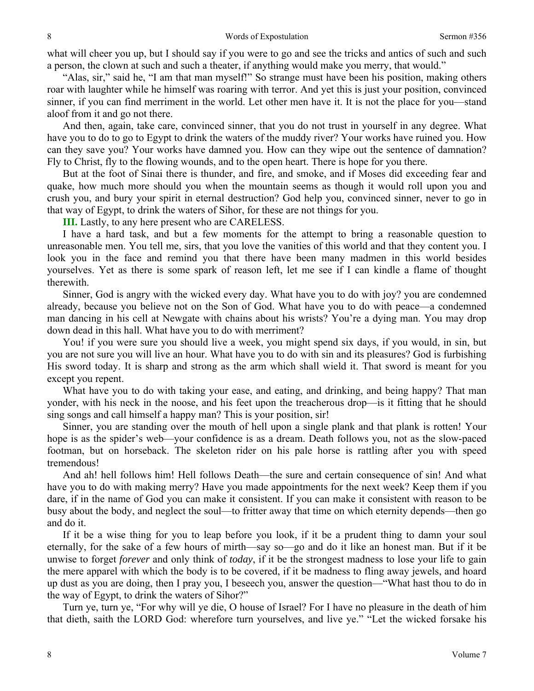what will cheer you up, but I should say if you were to go and see the tricks and antics of such and such a person, the clown at such and such a theater, if anything would make you merry, that would."

"Alas, sir," said he, "I am that man myself!" So strange must have been his position, making others roar with laughter while he himself was roaring with terror. And yet this is just your position, convinced sinner, if you can find merriment in the world. Let other men have it. It is not the place for you—stand aloof from it and go not there.

And then, again, take care, convinced sinner, that you do not trust in yourself in any degree. What have you to do to go to Egypt to drink the waters of the muddy river? Your works have ruined you. How can they save you? Your works have damned you. How can they wipe out the sentence of damnation? Fly to Christ, fly to the flowing wounds, and to the open heart. There is hope for you there.

But at the foot of Sinai there is thunder, and fire, and smoke, and if Moses did exceeding fear and quake, how much more should you when the mountain seems as though it would roll upon you and crush you, and bury your spirit in eternal destruction? God help you, convinced sinner, never to go in that way of Egypt, to drink the waters of Sihor, for these are not things for you.

**III.** Lastly, to any here present who are CARELESS.

I have a hard task, and but a few moments for the attempt to bring a reasonable question to unreasonable men. You tell me, sirs, that you love the vanities of this world and that they content you. I look you in the face and remind you that there have been many madmen in this world besides yourselves. Yet as there is some spark of reason left, let me see if I can kindle a flame of thought therewith.

Sinner, God is angry with the wicked every day. What have you to do with joy? you are condemned already, because you believe not on the Son of God. What have you to do with peace—a condemned man dancing in his cell at Newgate with chains about his wrists? You're a dying man. You may drop down dead in this hall. What have you to do with merriment?

You! if you were sure you should live a week, you might spend six days, if you would, in sin, but you are not sure you will live an hour. What have you to do with sin and its pleasures? God is furbishing His sword today. It is sharp and strong as the arm which shall wield it. That sword is meant for you except you repent.

What have you to do with taking your ease, and eating, and drinking, and being happy? That man yonder, with his neck in the noose, and his feet upon the treacherous drop—is it fitting that he should sing songs and call himself a happy man? This is your position, sir!

Sinner, you are standing over the mouth of hell upon a single plank and that plank is rotten! Your hope is as the spider's web—your confidence is as a dream. Death follows you, not as the slow-paced footman, but on horseback. The skeleton rider on his pale horse is rattling after you with speed tremendous!

And ah! hell follows him! Hell follows Death—the sure and certain consequence of sin! And what have you to do with making merry? Have you made appointments for the next week? Keep them if you dare, if in the name of God you can make it consistent. If you can make it consistent with reason to be busy about the body, and neglect the soul—to fritter away that time on which eternity depends—then go and do it.

If it be a wise thing for you to leap before you look, if it be a prudent thing to damn your soul eternally, for the sake of a few hours of mirth—say so—go and do it like an honest man. But if it be unwise to forget *forever* and only think of *today*, if it be the strongest madness to lose your life to gain the mere apparel with which the body is to be covered, if it be madness to fling away jewels, and hoard up dust as you are doing, then I pray you, I beseech you, answer the question—"What hast thou to do in the way of Egypt, to drink the waters of Sihor?"

Turn ye, turn ye, "For why will ye die, O house of Israel? For I have no pleasure in the death of him that dieth, saith the LORD God: wherefore turn yourselves, and live ye." "Let the wicked forsake his